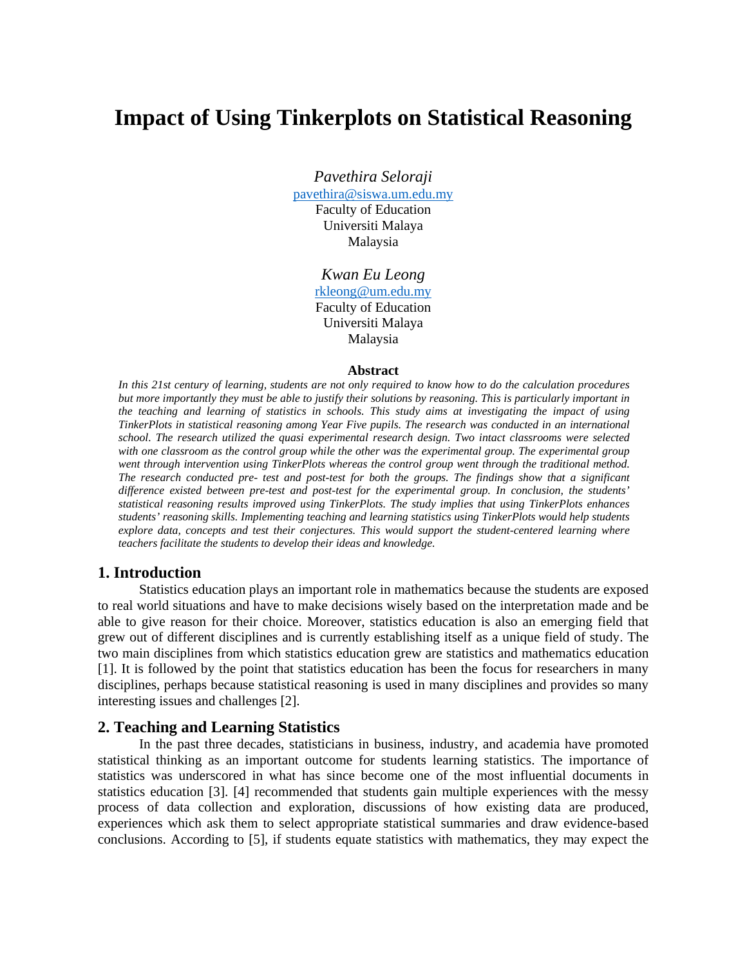# **Impact of Using Tinkerplots on Statistical Reasoning**

*Pavethira Seloraji* 

pavethira@siswa.um.edu.my Faculty of Education Universiti Malaya Malaysia

> *Kwan Eu Leong*  rkleong@um.edu.my Faculty of Education Universiti Malaya Malaysia

#### **Abstract**

*In this 21st century of learning, students are not only required to know how to do the calculation procedures but more importantly they must be able to justify their solutions by reasoning. This is particularly important in the teaching and learning of statistics in schools. This study aims at investigating the impact of using TinkerPlots in statistical reasoning among Year Five pupils. The research was conducted in an international school. The research utilized the quasi experimental research design. Two intact classrooms were selected*  with one classroom as the control group while the other was the experimental group. The experimental group *went through intervention using TinkerPlots whereas the control group went through the traditional method. The research conducted pre- test and post-test for both the groups. The findings show that a significant difference existed between pre-test and post-test for the experimental group. In conclusion, the students' statistical reasoning results improved using TinkerPlots. The study implies that using TinkerPlots enhances students' reasoning skills. Implementing teaching and learning statistics using TinkerPlots would help students explore data, concepts and test their conjectures. This would support the student-centered learning where teachers facilitate the students to develop their ideas and knowledge.* 

## **1. Introduction**

Statistics education plays an important role in mathematics because the students are exposed to real world situations and have to make decisions wisely based on the interpretation made and be able to give reason for their choice. Moreover, statistics education is also an emerging field that grew out of different disciplines and is currently establishing itself as a unique field of study. The two main disciplines from which statistics education grew are statistics and mathematics education [1]. It is followed by the point that statistics education has been the focus for researchers in many disciplines, perhaps because statistical reasoning is used in many disciplines and provides so many interesting issues and challenges [2].

## **2. Teaching and Learning Statistics**

In the past three decades, statisticians in business, industry, and academia have promoted statistical thinking as an important outcome for students learning statistics. The importance of statistics was underscored in what has since become one of the most influential documents in statistics education [3]. [4] recommended that students gain multiple experiences with the messy process of data collection and exploration, discussions of how existing data are produced, experiences which ask them to select appropriate statistical summaries and draw evidence-based conclusions. According to [5], if students equate statistics with mathematics, they may expect the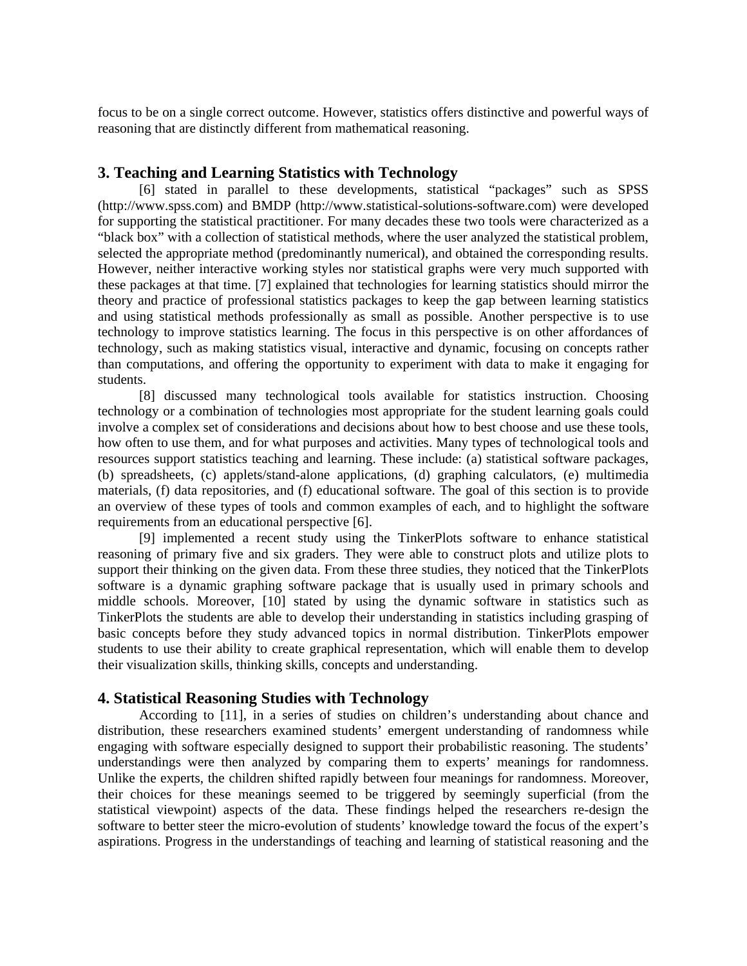focus to be on a single correct outcome. However, statistics offers distinctive and powerful ways of reasoning that are distinctly different from mathematical reasoning.

## **3. Teaching and Learning Statistics with Technology**

[6] stated in parallel to these developments, statistical "packages" such as SPSS (http://www.spss.com) and BMDP (http://www.statistical-solutions-software.com) were developed for supporting the statistical practitioner. For many decades these two tools were characterized as a "black box" with a collection of statistical methods, where the user analyzed the statistical problem, selected the appropriate method (predominantly numerical), and obtained the corresponding results. However, neither interactive working styles nor statistical graphs were very much supported with these packages at that time. [7] explained that technologies for learning statistics should mirror the theory and practice of professional statistics packages to keep the gap between learning statistics and using statistical methods professionally as small as possible. Another perspective is to use technology to improve statistics learning. The focus in this perspective is on other affordances of technology, such as making statistics visual, interactive and dynamic, focusing on concepts rather than computations, and offering the opportunity to experiment with data to make it engaging for students.

[8] discussed many technological tools available for statistics instruction. Choosing technology or a combination of technologies most appropriate for the student learning goals could involve a complex set of considerations and decisions about how to best choose and use these tools, how often to use them, and for what purposes and activities. Many types of technological tools and resources support statistics teaching and learning. These include: (a) statistical software packages, (b) spreadsheets, (c) applets/stand-alone applications, (d) graphing calculators, (e) multimedia materials, (f) data repositories, and (f) educational software. The goal of this section is to provide an overview of these types of tools and common examples of each, and to highlight the software requirements from an educational perspective [6].

[9] implemented a recent study using the TinkerPlots software to enhance statistical reasoning of primary five and six graders. They were able to construct plots and utilize plots to support their thinking on the given data. From these three studies, they noticed that the TinkerPlots software is a dynamic graphing software package that is usually used in primary schools and middle schools. Moreover, [10] stated by using the dynamic software in statistics such as TinkerPlots the students are able to develop their understanding in statistics including grasping of basic concepts before they study advanced topics in normal distribution. TinkerPlots empower students to use their ability to create graphical representation, which will enable them to develop their visualization skills, thinking skills, concepts and understanding.

# **4. Statistical Reasoning Studies with Technology**

According to [11], in a series of studies on children's understanding about chance and distribution, these researchers examined students' emergent understanding of randomness while engaging with software especially designed to support their probabilistic reasoning. The students' understandings were then analyzed by comparing them to experts' meanings for randomness. Unlike the experts, the children shifted rapidly between four meanings for randomness. Moreover, their choices for these meanings seemed to be triggered by seemingly superficial (from the statistical viewpoint) aspects of the data. These findings helped the researchers re-design the software to better steer the micro-evolution of students' knowledge toward the focus of the expert's aspirations. Progress in the understandings of teaching and learning of statistical reasoning and the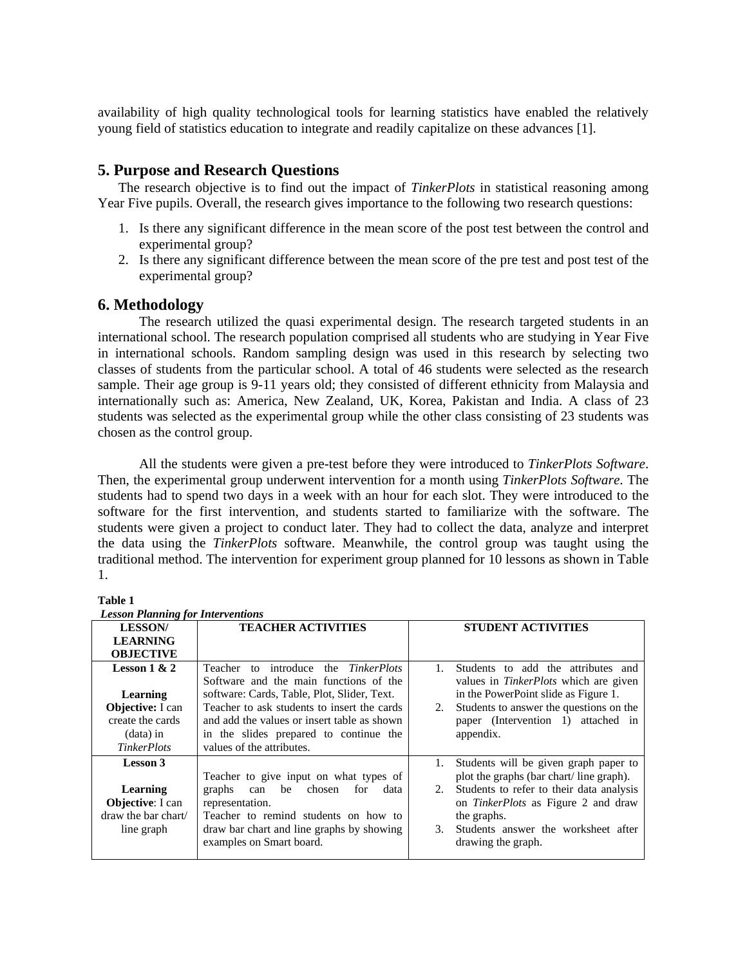availability of high quality technological tools for learning statistics have enabled the relatively young field of statistics education to integrate and readily capitalize on these advances [1].

# **5. Purpose and Research Questions**

The research objective is to find out the impact of *TinkerPlots* in statistical reasoning among Year Five pupils. Overall, the research gives importance to the following two research questions:

- 1. Is there any significant difference in the mean score of the post test between the control and experimental group?
- 2. Is there any significant difference between the mean score of the pre test and post test of the experimental group?

# **6. Methodology**

The research utilized the quasi experimental design. The research targeted students in an international school. The research population comprised all students who are studying in Year Five in international schools. Random sampling design was used in this research by selecting two classes of students from the particular school. A total of 46 students were selected as the research sample. Their age group is 9-11 years old; they consisted of different ethnicity from Malaysia and internationally such as: America, New Zealand, UK, Korea, Pakistan and India. A class of 23 students was selected as the experimental group while the other class consisting of 23 students was chosen as the control group.

All the students were given a pre-test before they were introduced to *TinkerPlots Software*. Then, the experimental group underwent intervention for a month using *TinkerPlots Software*. The students had to spend two days in a week with an hour for each slot. They were introduced to the software for the first intervention, and students started to familiarize with the software. The students were given a project to conduct later. They had to collect the data, analyze and interpret the data using the *TinkerPlots* software. Meanwhile, the control group was taught using the traditional method. The intervention for experiment group planned for 10 lessons as shown in Table 1.

| <b>Lesson Planning for Interventions</b>                                                                       |                                                                                                                                                                                                                                                                                                    |                           |                                                                                                                                                                                                                                                        |  |  |  |  |  |
|----------------------------------------------------------------------------------------------------------------|----------------------------------------------------------------------------------------------------------------------------------------------------------------------------------------------------------------------------------------------------------------------------------------------------|---------------------------|--------------------------------------------------------------------------------------------------------------------------------------------------------------------------------------------------------------------------------------------------------|--|--|--|--|--|
| <b>LESSON/</b>                                                                                                 | <b>TEACHER ACTIVITIES</b>                                                                                                                                                                                                                                                                          | <b>STUDENT ACTIVITIES</b> |                                                                                                                                                                                                                                                        |  |  |  |  |  |
| <b>LEARNING</b><br><b>OBJECTIVE</b>                                                                            |                                                                                                                                                                                                                                                                                                    |                           |                                                                                                                                                                                                                                                        |  |  |  |  |  |
| Lesson $1 & 2$<br>Learning<br><b>Objective:</b> I can<br>create the cards<br>$(data)$ in<br><b>TinkerPlots</b> | Teacher to introduce the TinkerPlots<br>Software and the main functions of the<br>software: Cards, Table, Plot, Slider, Text.<br>Teacher to ask students to insert the cards<br>and add the values or insert table as shown<br>in the slides prepared to continue the<br>values of the attributes. | $\mathbf{1}$<br>2.        | Students to add the attributes and<br>values in <i>TinkerPlots</i> which are given<br>in the PowerPoint slide as Figure 1.<br>Students to answer the questions on the<br>paper (Intervention 1) attached in<br>appendix.                               |  |  |  |  |  |
| <b>Lesson 3</b><br>Learning<br><b>Objective:</b> I can<br>draw the bar chart/<br>line graph                    | Teacher to give input on what types of<br>can be chosen<br>graphs<br>for<br>data<br>representation.<br>Teacher to remind students on how to<br>draw bar chart and line graphs by showing<br>examples on Smart board.                                                                               | 1.<br>2.<br>3.            | Students will be given graph paper to<br>plot the graphs (bar chart/line graph).<br>Students to refer to their data analysis<br>on <i>TinkerPlots</i> as Figure 2 and draw<br>the graphs.<br>Students answer the worksheet after<br>drawing the graph. |  |  |  |  |  |

**Table 1**   *Lesson Planning for Interventions*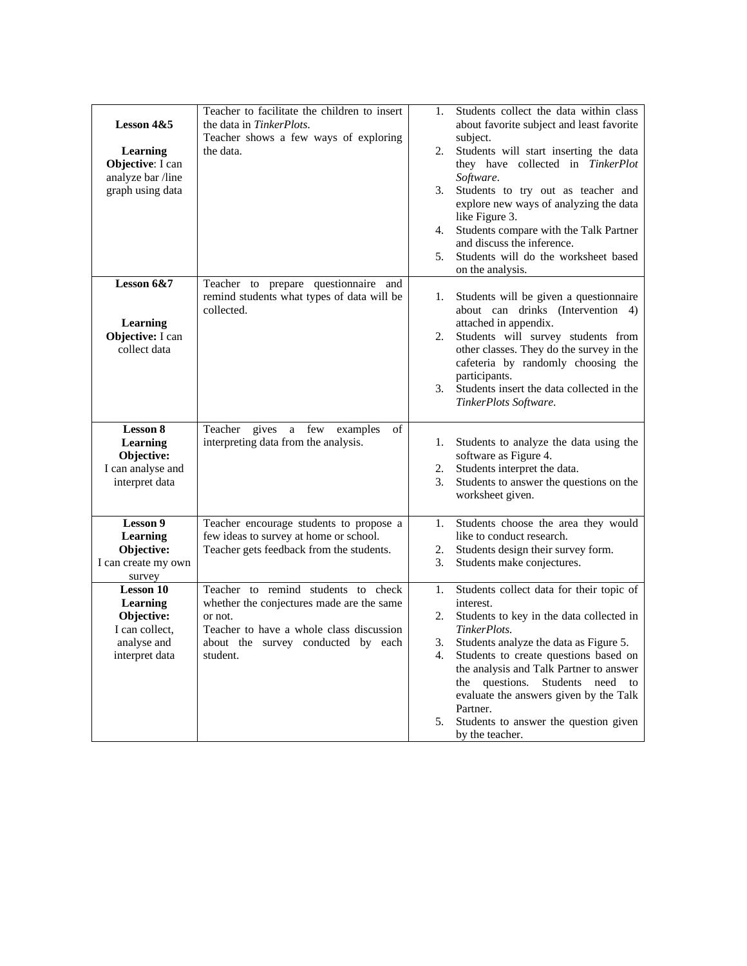| Lesson $4&5$<br>Learning<br>Objective: I can<br>analyze bar /line<br>graph using data         | Teacher to facilitate the children to insert<br>the data in TinkerPlots.<br>Teacher shows a few ways of exploring<br>the data.                                                            | 1.<br>2.<br>3.<br>4.<br>5. | Students collect the data within class<br>about favorite subject and least favorite<br>subject.<br>Students will start inserting the data<br>they have collected in TinkerPlot<br>Software.<br>Students to try out as teacher and<br>explore new ways of analyzing the data<br>like Figure 3.<br>Students compare with the Talk Partner<br>and discuss the inference.<br>Students will do the worksheet based<br>on the analysis. |
|-----------------------------------------------------------------------------------------------|-------------------------------------------------------------------------------------------------------------------------------------------------------------------------------------------|----------------------------|-----------------------------------------------------------------------------------------------------------------------------------------------------------------------------------------------------------------------------------------------------------------------------------------------------------------------------------------------------------------------------------------------------------------------------------|
| Lesson 6&7<br>Learning<br>Objective: I can<br>collect data                                    | Teacher to prepare questionnaire and<br>remind students what types of data will be<br>collected.                                                                                          | 1.<br>2.<br>3.             | Students will be given a questionnaire<br>about can drinks (Intervention 4)<br>attached in appendix.<br>Students will survey students from<br>other classes. They do the survey in the<br>cafeteria by randomly choosing the<br>participants.<br>Students insert the data collected in the<br>TinkerPlots Software.                                                                                                               |
| <b>Lesson 8</b><br>Learning<br>Objective:<br>I can analyse and<br>interpret data              | of<br>Teacher gives a few examples<br>interpreting data from the analysis.                                                                                                                | 1.<br>2.<br>3.             | Students to analyze the data using the<br>software as Figure 4.<br>Students interpret the data.<br>Students to answer the questions on the<br>worksheet given.                                                                                                                                                                                                                                                                    |
| Lesson 9<br>Learning<br>Objective:<br>I can create my own<br>survey                           | Teacher encourage students to propose a<br>few ideas to survey at home or school.<br>Teacher gets feedback from the students.                                                             | 1.<br>2.<br>3.             | Students choose the area they would<br>like to conduct research.<br>Students design their survey form.<br>Students make conjectures.                                                                                                                                                                                                                                                                                              |
| <b>Lesson 10</b><br>Learning<br>Objective:<br>I can collect,<br>analyse and<br>interpret data | Teacher to remind students to check<br>whether the conjectures made are the same<br>or not.<br>Teacher to have a whole class discussion<br>about the survey conducted by each<br>student. | 1.<br>2.<br>3.<br>4.<br>5. | Students collect data for their topic of<br>interest.<br>Students to key in the data collected in<br>TinkerPlots.<br>Students analyze the data as Figure 5.<br>Students to create questions based on<br>the analysis and Talk Partner to answer<br>questions.<br>Students need to<br>the<br>evaluate the answers given by the Talk<br>Partner.<br>Students to answer the question given<br>by the teacher.                        |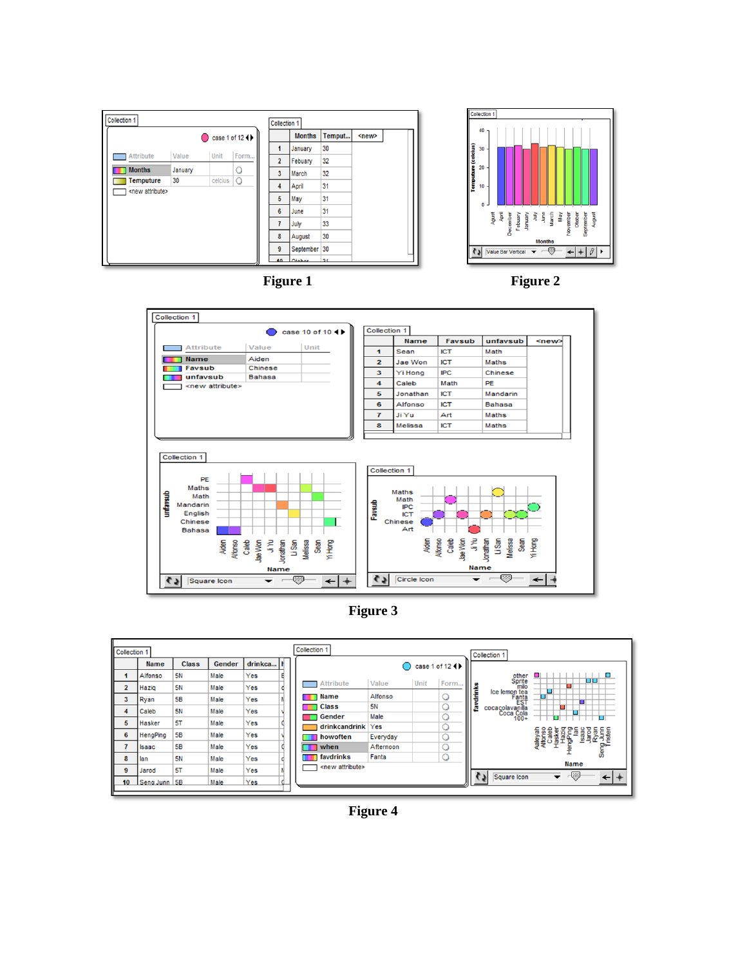











**Figure 4**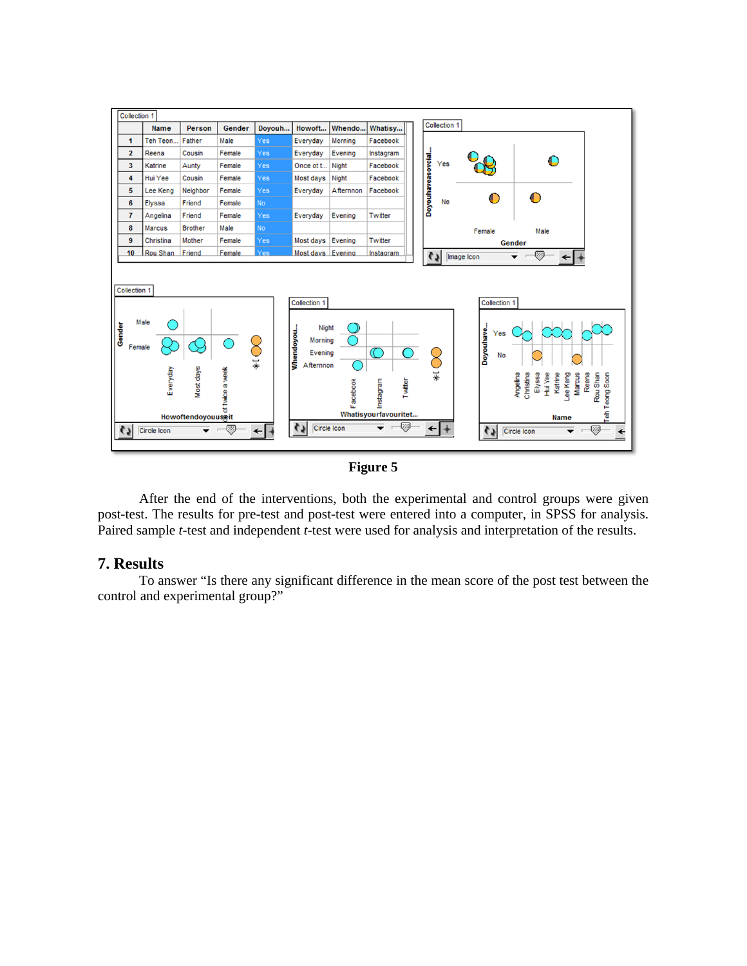



After the end of the interventions, both the experimental and control groups were given post-test. The results for pre-test and post-test were entered into a computer, in SPSS for analysis. Paired sample *t*-test and independent *t*-test were used for analysis and interpretation of the results.

# **7. Results**

To answer "Is there any significant difference in the mean score of the post test between the control and experimental group?"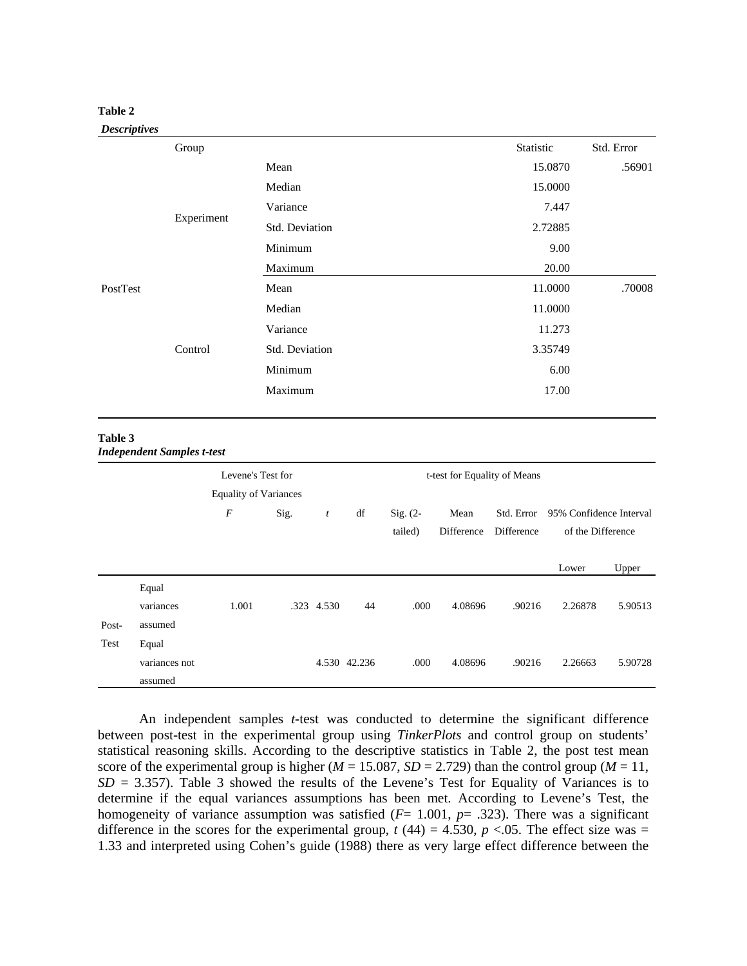## **Table 2**

#### *Descriptives*

|          | Group                                                                                                                                                     |       | Statistic | Std. Error |
|----------|-----------------------------------------------------------------------------------------------------------------------------------------------------------|-------|-----------|------------|
|          |                                                                                                                                                           | Mean  | 15.0870   | .56901     |
|          | Median<br>Variance<br>Experiment<br>Std. Deviation<br>Minimum<br>Maximum<br>Mean<br>Median<br>Variance<br>Control<br>Std. Deviation<br>Minimum<br>Maximum |       | 15.0000   |            |
|          |                                                                                                                                                           | 7.447 |           |            |
|          |                                                                                                                                                           |       | 2.72885   |            |
|          |                                                                                                                                                           |       | 9.00      |            |
|          |                                                                                                                                                           |       | 20.00     |            |
| PostTest |                                                                                                                                                           |       | 11.0000   | .70008     |
|          |                                                                                                                                                           |       | 11.0000   |            |
|          |                                                                                                                                                           |       | 11.273    |            |
|          |                                                                                                                                                           |       | 3.35749   |            |
|          |                                                                                                                                                           |       | 6.00      |            |
|          |                                                                                                                                                           |       | 17.00     |            |
|          |                                                                                                                                                           |       |           |            |

#### **Table 3**  *Independent Samples t-test*

|       |                                   | Levene's Test for<br><b>Equality of Variances</b> |      |                  | t-test for Equality of Means |                       |                    |                          |                                              |         |
|-------|-----------------------------------|---------------------------------------------------|------|------------------|------------------------------|-----------------------|--------------------|--------------------------|----------------------------------------------|---------|
|       |                                   | $\boldsymbol{F}$                                  | Sig. | $\boldsymbol{t}$ | df                           | $Sig. (2-$<br>tailed) | Mean<br>Difference | Std. Error<br>Difference | 95% Confidence Interval<br>of the Difference |         |
|       |                                   |                                                   |      |                  |                              |                       |                    |                          | Lower                                        | Upper   |
| Post- | Equal<br>variances<br>assumed     | 1.001                                             | .323 | 4.530            | 44                           | .000                  | 4.08696            | .90216                   | 2.26878                                      | 5.90513 |
| Test  | Equal<br>variances not<br>assumed |                                                   |      |                  | 4.530 42.236                 | .000                  | 4.08696            | .90216                   | 2.26663                                      | 5.90728 |

An independent samples *t*-test was conducted to determine the significant difference between post-test in the experimental group using *TinkerPlots* and control group on students' statistical reasoning skills. According to the descriptive statistics in Table 2, the post test mean score of the experimental group is higher ( $M = 15.087$ ,  $SD = 2.729$ ) than the control group ( $M = 11$ , *SD* = 3.357). Table 3 showed the results of the Levene's Test for Equality of Variances is to determine if the equal variances assumptions has been met. According to Levene's Test, the homogeneity of variance assumption was satisfied  $(F= 1.001, p=.323)$ . There was a significant difference in the scores for the experimental group,  $t(44) = 4.530$ ,  $p < 0.05$ . The effect size was = 1.33 and interpreted using Cohen's guide (1988) there as very large effect difference between the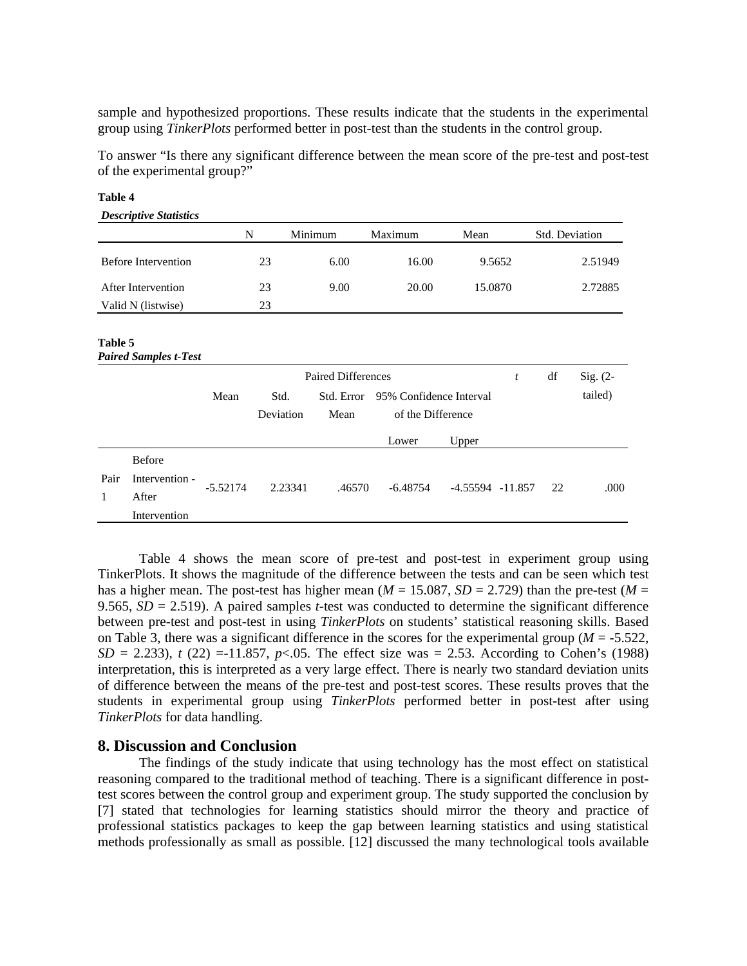sample and hypothesized proportions. These results indicate that the students in the experimental group using *TinkerPlots* performed better in post-test than the students in the control group.

To answer "Is there any significant difference between the mean score of the pre-test and post-test of the experimental group?"

| <b>Descriptive Statistics</b> |    |         |         |         |                |
|-------------------------------|----|---------|---------|---------|----------------|
|                               | N  | Minimum | Maximum | Mean    | Std. Deviation |
| <b>Before Intervention</b>    | 23 | 6.00    | 16.00   | 9.5652  | 2.51949        |
| After Intervention            | 23 | 9.00    | 20.00   | 15.0870 | 2.72885        |
| Valid N (listwise)            | 23 |         |         |         |                |

**Table 4** 

### **Table 5**

*Paired Samples t-Test*

|           |                                                          |            | <b>Paired Differences</b> |                    |                                              |                      |  | df | $Sig. (2-$ |
|-----------|----------------------------------------------------------|------------|---------------------------|--------------------|----------------------------------------------|----------------------|--|----|------------|
|           |                                                          | Mean       | Std.<br>Deviation         | Std. Error<br>Mean | 95% Confidence Interval<br>of the Difference |                      |  |    | tailed)    |
|           |                                                          |            |                           |                    | Lower                                        | Upper                |  |    |            |
| Pair<br>1 | <b>Before</b><br>Intervention -<br>After<br>Intervention | $-5.52174$ | 2.23341                   | .46570             | $-6.48754$                                   | $-4.55594$ $-11.857$ |  | 22 | .000       |

Table 4 shows the mean score of pre-test and post-test in experiment group using TinkerPlots. It shows the magnitude of the difference between the tests and can be seen which test has a higher mean. The post-test has higher mean ( $M = 15.087$ ,  $SD = 2.729$ ) than the pre-test ( $M =$ 9.565, *SD* = 2.519). A paired samples *t*-test was conducted to determine the significant difference between pre-test and post-test in using *TinkerPlots* on students' statistical reasoning skills. Based on Table 3, there was a significant difference in the scores for the experimental group (*M* = -5.522,  $SD = 2.233$ ), *t* (22) = -11.857, *p*<.05. The effect size was = 2.53. According to Cohen's (1988) interpretation, this is interpreted as a very large effect. There is nearly two standard deviation units of difference between the means of the pre-test and post-test scores. These results proves that the students in experimental group using *TinkerPlots* performed better in post-test after using *TinkerPlots* for data handling.

# **8. Discussion and Conclusion**

The findings of the study indicate that using technology has the most effect on statistical reasoning compared to the traditional method of teaching. There is a significant difference in posttest scores between the control group and experiment group. The study supported the conclusion by [7] stated that technologies for learning statistics should mirror the theory and practice of professional statistics packages to keep the gap between learning statistics and using statistical methods professionally as small as possible. [12] discussed the many technological tools available